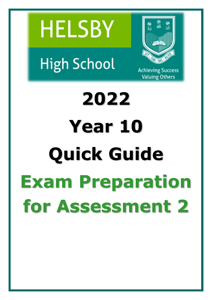



**High School** 

**Achieving Success Valuing Others** 

# **2022 Year 10 Quick Guide Exam Preparation for Assessment 2**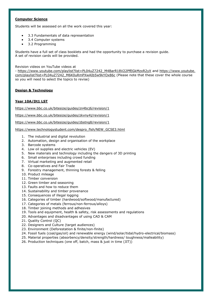## **Computer Science**

Students will be assessed on all the work covered this year:

- 3.3 Fundamentals of data representation
- 3.4 Computer systems
- 3.2 Programming

Students have a full set of class booklets and had the opportunity to purchase a revision guide. A set of revision cards will be provided.

Revision videos on YouTube videos at

- [https://www.youtube.com/playlist?list=PL04uZ7242\\_M4BarR18V22PfEGkMzxR2yX](https://www.youtube.com/playlist?list=PL04uZ7242_M4BarR18V22PfEGkMzxR2yX) and [https://www.youtube.](https://www.youtube.com/playlist?list=PL04uZ7242_M6K0uRmPXwAIb5w9kYOx86c) [com/playlist?list=PL04uZ7242\\_M6K0uRmPXwAIb5w9kYOx86c](https://www.youtube.com/playlist?list=PL04uZ7242_M6K0uRmPXwAIb5w9kYOx86c) (Please note that these cover the whole course so you will need to select the topics to revise)

# **Design & Technology**

# **Year 10A/Dt1 LST**

<https://www.bbc.co.uk/bitesize/guides/zn4bcj6/revision/1>

<https://www.bbc.co.uk/bitesize/guides/zkvny4j/revision/1>

<https://www.bbc.co.uk/bitesize/guides/zbstng8/revision/1>

[https://www.technologystudent.com/despro\\_flsh/NEW\\_GCSE3.html](https://www.technologystudent.com/despro_flsh/NEW_GCSE3.html)

- 1. The industrial and digital revolution
- 2. Automation, design and organisation of the workplace
- 3. Barcode systems
- 4. Low oil supplies and electric vehicles (EV)
- 5. New materials and technology including the dangers of 3D printing
- 6. Small enterprises including crowd funding
- 7. Virtual marketing and augmented retail
- 8. Co-operatives and Fair Trade
- 9. Forestry management, thinning forests & felling
- 10. Product mileage
- 11. Timber conversion
- 12. Green timber and seasoning
- 13. Faults and how to reduce them
- 14. Sustainability and timber provenance
- 15. Consequences of illegal logging
- 16. Categories of timber (hardwood/softwood/manufactured)
- 17. Categories of metals (ferrous/non-ferrous/alloys)
- 18. Timber joining methods and adhesives
- 19. Tools and equipment, health & safety, risk assessments and regulations
- 20. Advantages and disadvantages of using CAD & CAM
- 21. Quality Control (QC)
- 22. Designers and Culture (target audiences)
- 23. Environment (Deforestation & finite/non-finite)
- 24. Fossil fuels (coal/gas/oil) and renewable energy (wind/solar/tidal/hydro-electrical/biomass)
- 25. Material properties (absorbency/density/strength/hardness/ toughness/malleability)
- 26. Production techniques (one off, batch, mass & just in time (JIT))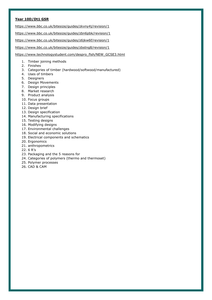# **Year 10D/Dt1 GSR**

<https://www.bbc.co.uk/bitesize/guides/zkvny4j/revision/1>

<https://www.bbc.co.uk/bitesize/guides/zbn6pbk/revision/1>

<https://www.bbc.co.uk/bitesize/guides/z6jkw6f/revision/1>

<https://www.bbc.co.uk/bitesize/guides/zbstng8/revision/1>

[https://www.technologystudent.com/despro\\_flsh/NEW\\_GCSE3.html](https://www.technologystudent.com/despro_flsh/NEW_GCSE3.html)

- 1. Timber joining methods
- 2. Finishes
- 3. Categories of timber (hardwood/softwood/manufactured)
- 4. Uses of timbers
- 5. Designers
- 6. Design Movements
- 7. Design principles
- 8. Market research
- 9. Product analysis
- 10. Focus groups
- 11. Data presentation
- 12. Design brief
- 13. Design specification
- 14. Manufacturing specifications
- 15. Testing designs
- 16. Modifying designs
- 17. Environmental challenges
- 18. Social and economic solutions
- 19. Electrical components and schematics
- 20. Ergonomics
- 21. anthropometrics
- 22. 6 R's
- 23. Packaging and the 5 reasons for
- 24. Categories of polymers (thermo and thermoset)
- 25. Polymer processes
- 26. CAD & CAM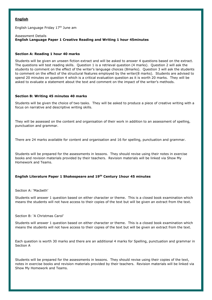## **English**

English Language Friday 17th June am

## Assessment Details **English Language Paper 1 Creative Reading and Writing 1 hour 45minutes**

## **Section A: Reading 1 hour 40 marks**

Students will be given an unseen fiction extract and will be asked to answer 4 questions based on the extract. The questions will test reading skills. Question 1 is a retrieval question (4 marks). Question 2 will ask the students to comment on the effect of the writer's language choices (8marks). Question 3 will ask the students to comment on the effect of the structural features employed by the writer(8 marks). Students are advised to spend 20 minutes on question 4 which is a critical evaluation question as it is worth 20 marks. They will be asked to evaluate a statement about the text and comment on the impact of the writer's methods.

## **Section B: Writing 45 minutes 40 marks**

Students will be given the choice of two tasks. They will be asked to produce a piece of creative writing with a focus on narrative and descriptive writing skills.

They will be assessed on the content and organisation of their work in addition to an assessment of spelling, punctuation and grammar.

There are 24 marks available for content and organisation and 16 for spelling, punctuation and grammar.

Students will be prepared for the assessments in lessons. They should revise using their notes in exercise books and revision materials provided by their teachers. Revision materials will be linked via Show My Homework and Teams.

# **English Literature Paper 1 Shakespeare and 19th Century 1hour 45 minutes**

Section A: 'Macbeth'

Students will answer 1 question based on either character or theme. This is a closed book examination which means the students will not have access to their copies of the text but will be given an extract from the text.

## Section B: 'A Christmas Carol'

Students will answer 1 question based on either character or theme. This is a closed book examination which means the students will not have access to their copies of the text but will be given an extract from the text.

Each question is worth 30 marks and there are an additional 4 marks for Spelling, punctuation and grammar in Section A

Students will be prepared for the assessments in lessons. They should revise using their copies of the text, notes in exercise books and revision materials provided by their teachers. Revision materials will be linked via Show My Homework and Teams.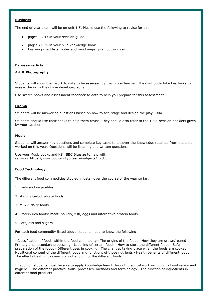## **Business**

The end of year exam will be on unit 1.5. Please use the following to revise for this:

- pages 33-43 in your revision guide
- pages 21-25 in your blue knowledge book
- Learning checklists, notes and mind maps given out in class

## **Expressive Arts**

## **Art & Photography**

Students will show their work to date to be assessed by their class teacher. They will undertake key tasks to assess the skills they have developed so far.

Use sketch books and assessment feedback to date to help you prepare for this assessment.

## **Drama**

Students will be answering questions based on how to act, stage and design the play 1984.

Students should use their books to help them revise. They should also refer to the 1984 revision booklets given by your teacher

## **Music**

Students will answer key questions and complete key tasks to uncover the knowledge retained from the units worked on this year. Questions will be listening and written questions.

Use your Music books and KS4 BBC Bitesize to help with revision. <https://www.bbc.co.uk/bitesize/subjects/zpf3cdm>

## **Food Technology**

The different food commodities studied in detail over the course of the year so far:

- 1. fruits and vegetables
- 2. starchy carbohydrate foods
- 3. milk & dairy foods
- 4. Protein rich foods: meat, poultry, fish, eggs and alternative protein foods
- 5. Fats, oils and sugars

For each food commodity listed above students need to know the following:

· Classification of foods within the food commodity · The origins of the foods · How they are grown/reared · Primary and secondary processing · Labelling of certain foods · How to store the different foods · Safe preparation of the foods · Different uses in cooking · The changes taking place when the foods are cooked · Nutritional content of the different foods and functions of those nutrients · Health benefits of different foods · The effect of eating too much or not enough of the different foods

In addition students must be able to apply knowledge learnt through practical work including: · Food safety and hygiene · The different practical skills, processes, methods and terminology · The function of ingredients in different food products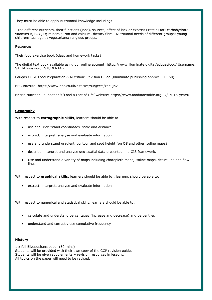They must be able to apply nutritional knowledge including:

· The different nutrients, their functions (jobs), sources, effect of lack or excess: Protein; fat; carbohydrate; vitamins A, B, C, D; minerals Iron and calcium; dietary fibre · Nutritional needs of different groups: young children; teenagers; vegetarians; religious groups.

## Resources

Their food exercise book (class and homework tasks)

The digital text book available using our online account: https://www.illuminate.digital/eduqasfood/ Username: SALT4 Password: STUDENT4 ·

Eduqas GCSE Food Preparation & Nutrition: Revision Guide (Illuminate publishing approx. £13:50)

BBC Bitesize: https://www.bbc.co.uk/bitesize/subjects/zdn9jhv

British Nutrition Foundation's 'Food a Fact of Life' website: https://www.foodafactoflife.org.uk/14-16-years/

## **Geography**

With respect to **cartographic skills**, learners should be able to:

- use and understand coordinates, scale and distance
- extract, interpret, analyse and evaluate information
- use and understand gradient, contour and spot height (on OS and other isoline maps)
- describe, interpret and analyse geo-spatial data presented in a GIS framework.
- Use and understand a variety of maps including choropleth maps, isoline maps, desire line and flow lines.

With respect to **graphical skills**, learners should be able to:, learners should be able to:

extract, interpret, analyse and evaluate information

With respect to numerical and statistical skills, learners should be able to:

- calculate and understand percentages (increase and decrease) and percentiles
- understand and correctly use cumulative frequency

## **History**

1 x full Elizabethans paper (50 mins) Students will be provided with their own copy of the CGP revision guide. Students will be given supplementary revision resources in lessons. All topics on the paper will need to be revised.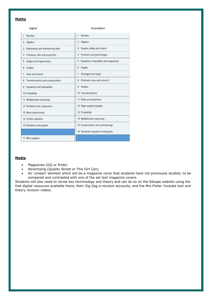## **Maths**

Higher

#### Foundation

| Number<br>1                             | Number<br>1                             |
|-----------------------------------------|-----------------------------------------|
| Algebra<br>$\overline{2}$               | 2 Algebra                               |
| Interpreting and representing data<br>3 | Graphs, tables and charts<br>3          |
| Fractions, ratio and proportion<br>4.   | 4 Fractions and percentages             |
| 5<br>Angles and trigonometry            | 5 Equations, inequalities and sequences |
| Graphs<br>6                             | 6 Angles                                |
| Area and volume<br>7                    | Averages and range<br>7                 |
| Transformations and constructions<br>8  | 8 Perimeter, area and volume 1          |
| Equations and inequalities<br>9         | 9 Graphs                                |
| 10 Probability                          | 10 Transformations                      |
| 11 Multiplicative reasoning             | 11 Ratio and proportion                 |
| 12 Similarity and congruence            | 12 Right-angled triangles               |
| 13 More trigonometry                    | 13 Probability                          |
| 14 Further statistics                   | 14 Multiplicative reasoning             |
| 15 Equations and graphs                 | 15 Constructions, loci and bearings     |
|                                         | 16 Quadratic equations and graphs       |
| 17 More algebra                         |                                         |

# **Media**

- Magazines (GQ or Pride)
- Advertising (Quality Street or This Girl Can)
- An 'unseen' element which will be a magazine cover that students have not previously studied, to be compared and contrasted with one of the set text magazine covers.

Students will also need to revise key terminology and theory and can do so on the Eduqas website using the free digital resources available there, their Zig-Zag e-revision accounts, and the Mrs Fisher Youtube text and theory revision videos.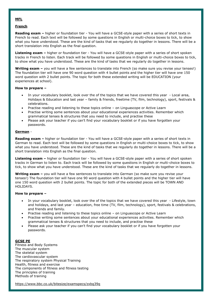## **MFL**

## **French**

**Reading exam –** higher or foundation tier - You will have a GCSE-style paper with a series of short texts in French to read. Each text will be followed by some questions in English or multi-choice boxes to tick, to show what you have understood. These are the kind of tasks that we regularly do together in lessons. There will be a short translation into English as the final question.

**Listening exam –** higher or foundation tier - You will have a GCSE-style paper with a series of short spoken tracks in French to listen. Each track will be followed by some questions in English or multi-choice boxes to tick, to show what you have understood. These are the kind of tasks that we regularly do together in lessons.

**Writing exam –** you will have a few sentences to translate into French (so make sure you revise your tenses!) The foundation tier will have one 90 word question with 4 bullet points and the higher tier will have one 150 word question with 2 bullet points. The topic for both these extended writing will be EDUCATION (your experiences at school).

## **How to prepare –**

- In your vocabulary booklet, look over the of the topics that we have covered this year Local area, Holidays & Education and last year – family & friends, freetime (TV, film, technology), sport, festivals & celebrations.
- Practise reading and listening to these topics online on Linguascope or Active Learn
- Practise writing some sentences about your educational experiences activities. Remember which grammatical tenses & structures that you need to include, and practise these
- Please ask your teacher if you can't find your vocabulary booklet or if you have forgotten your passwords.

## **German** -

**Reading exam –** higher or foundation tier - You will have a GCSE-style paper with a series of short texts in German to read. Each text will be followed by some questions in English or multi-choice boxes to tick, to show what you have understood. These are the kind of tasks that we regularly do together in lessons. There will be a short translation into English as the final question.

**Listening exam –** higher or foundation tier - You will have a GCSE-style paper with a series of short spoken tracks in German to listen to. Each track will be followed by some questions in English or multi-choice boxes to tick, to show what you have understood. These are the kind of tasks that we regularly do together in lessons.

**Writing exam –** you will have a few sentences to translate into German (so make sure you revise your tenses!) The foundation tier will have one 90 word question with 4 bullet points and the higher tier will have one 150 word question with 2 bullet points. The topic for both of the extended pieces will be TOWN AND HOLIDAYS.

## **How to prepare –**

- In your vocabulary booklet, look over the of the topics that we have covered this year Lifestyle, town and holidays, and last year – education, free time (TV, film, technology), sport, festivals & celebrations, and friends and family.
- Practise reading and listening to these topics online on Linguascope or Active Learn
- Practise writing some sentences about your educational experiences activities. Remember which grammatical tenses & structures that you need to include, and practise these
- Please ask your teacher if you can't find your vocabulary booklet or if you have forgotten your passwords.

## **GCSE PE**

Fitness and Body Systems The muscular system The skeletal system The cardiovascular system The respiratory system Physical Training Health, fitness and exercise The components of fitness and fitness testing The principles of training Methods of training

<https://www.bbc.co.uk/bitesize/examspecs/zxbg39q>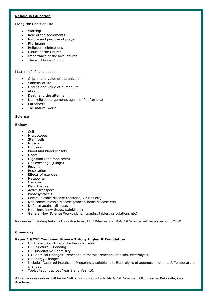## **Religious Education**

Living the Christian Life

- Worship
- Role of the sacraments
- Nature and purpose of prayer
- Pilgrimage
- Religious celebrations
- Future of the Church
- Importance of the local church
- The worldwide Church

## Matters of life and death

- Origins and value of the universe
- Sanctity of life
- Origins and value of human life
- Abortion
- Death and the afterlife
- Non-religious arguments against life after death
- Euthanasia
- The natural world

## **Science**

## Biology

- Cells
- Microscopes
- Stem cells
- Mitosis
- Diffusion
- Blood and blood vessels
- Heart
- Digestion (and food tests)
- Gas exchange (Lungs)
- Enzymes
- Respiration
- Effects of exercise
- Metabolism
- **Osmosis**
- Plant tissues
- Active transport
- Photosynthesis
- Communicable disease (bacteria, viruses etc)
- Non communicable disease (cancer, heart disease etc)
- Defence against disease.
- Medicines (new drugs, painkillers)
- General How Science Works skills. (graphs, tables, calculations etc)

Resources including links to Oaks Academy, BBC Bitesize and MyGCSEScience will be placed on SMHW.

# **Chemistry**

# **Paper 1 GCSE Combined Science Trilogy Higher & Foundation.**

- C1 Atomic Structure & The Periodic Table.
- C2 Structure & Bonding
- C3 Quantitative Chemistry
- C4 Chemical Changes reactions of metals, reactions of acids, electrolysis.
- C5 Energy Changes.
- Includes Required Practicals: Preparing a soluble salt, Electrolysis of aqueous solutions, & Temperature changes.
- Topics taught across Year 9 and Year 10.

All revision resources will be on SMHK, including links to My GCSE Science, BBC Bitesize, Keboodle, Oak Academy.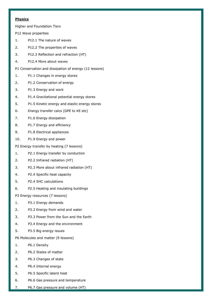# **Physics**

Higher and Foundation Tiers

P12 Wave properties

- 1. P12.1 The nature of waves
- 2. P12.2 The properties of waves
- 3. P12.3 Reflection and refraction (HT)
- 4. P12.4 More about waves
- P1 Conservation and dissipation of energy (12 lessons)
- 1. P1.1 Changes in energy stores
- 2. P1.2 Conservation of energy
- 3. P1.3 Energy and work
- 4. P1.4 Gravitational potential energy stores
- 5. P1.5 Kinetic energy and elastic energy stores
- 6. Energy transfer calcs (GPE to KE etc)
- 7. P1.6 Energy dissipation
- 8. P1.7 Energy and efficiency
- 9. P1.8 Electrical appliances
- 10. P1.9 Energy and power
- P2 Energy transfer by heating (7 lessons)
- 1. P2.1 Energy transfer by conduction
- 2. P2.2 Infrared radiation (HT)
- 3. P2.3 More about infrared radiation (HT)
- 4. P2.4 Specific heat capacity
- 5. P2.4 SHC calculations
- 6. P2.5 Heating and insulating buildings

P3 Energy resources (7 lessons)

- 1. P3.1 Energy demands
- 2. P3.2 Energy from wind and water
- 3. P3.3 Power from the Sun and the Earth
- 4. P3.4 Energy and the environment
- 5. P3.5 Big energy issues
- P6 Molecules and matter (9 lessons)
- 1. P6.1 Density
- 2. P6.2 States of matter
- 3. P6.3 Changes of state
- 4. P6.4 Internal energy
- 5. P6.5 Specific latent heat
- 6. P6.6 Gas pressure and temperature
- 7. P6.7 Gas pressure and volume (HT)